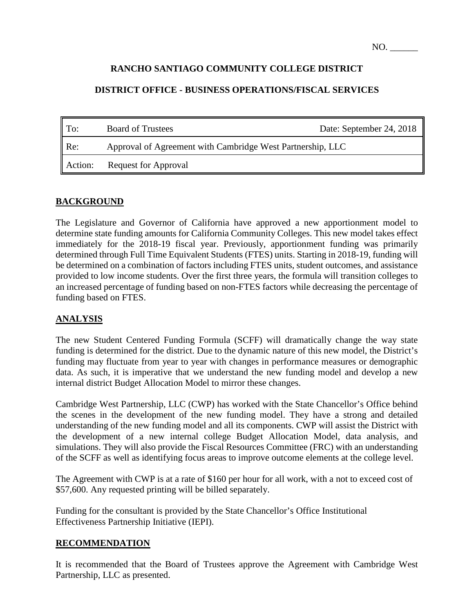### **RANCHO SANTIAGO COMMUNITY COLLEGE DISTRICT**

### **DISTRICT OFFICE - BUSINESS OPERATIONS/FISCAL SERVICES**

| $\blacksquare$ To: | <b>Board of Trustees</b>                                   | Date: September 24, 2018 |
|--------------------|------------------------------------------------------------|--------------------------|
| $\parallel$ Re:    | Approval of Agreement with Cambridge West Partnership, LLC |                          |
| Action:            | <b>Request for Approval</b>                                |                          |

#### **BACKGROUND**

The Legislature and Governor of California have approved a new apportionment model to determine state funding amounts for California Community Colleges. This new model takes effect immediately for the 2018-19 fiscal year. Previously, apportionment funding was primarily determined through Full Time Equivalent Students (FTES) units. Starting in 2018-19, funding will be determined on a combination of factors including FTES units, student outcomes, and assistance provided to low income students. Over the first three years, the formula will transition colleges to an increased percentage of funding based on non-FTES factors while decreasing the percentage of funding based on FTES.

### **ANALYSIS**

The new Student Centered Funding Formula (SCFF) will dramatically change the way state funding is determined for the district. Due to the dynamic nature of this new model, the District's funding may fluctuate from year to year with changes in performance measures or demographic data. As such, it is imperative that we understand the new funding model and develop a new internal district Budget Allocation Model to mirror these changes.

Cambridge West Partnership, LLC (CWP) has worked with the State Chancellor's Office behind the scenes in the development of the new funding model. They have a strong and detailed understanding of the new funding model and all its components. CWP will assist the District with the development of a new internal college Budget Allocation Model, data analysis, and simulations. They will also provide the Fiscal Resources Committee (FRC) with an understanding of the SCFF as well as identifying focus areas to improve outcome elements at the college level.

The Agreement with CWP is at a rate of \$160 per hour for all work, with a not to exceed cost of \$57,600. Any requested printing will be billed separately.

Funding for the consultant is provided by the State Chancellor's Office Institutional Effectiveness Partnership Initiative (IEPI).

#### **RECOMMENDATION**

It is recommended that the Board of Trustees approve the Agreement with Cambridge West Partnership, LLC as presented.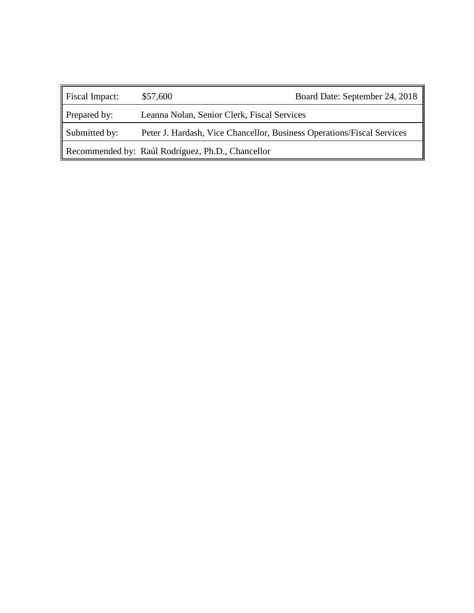| Fiscal Impact:                                    | \$57,600                                                               | Board Date: September 24, 2018 |  |
|---------------------------------------------------|------------------------------------------------------------------------|--------------------------------|--|
| Prepared by:                                      | Leanna Nolan, Senior Clerk, Fiscal Services                            |                                |  |
| Submitted by:                                     | Peter J. Hardash, Vice Chancellor, Business Operations/Fiscal Services |                                |  |
| Recommended by: Raúl Rodríguez, Ph.D., Chancellor |                                                                        |                                |  |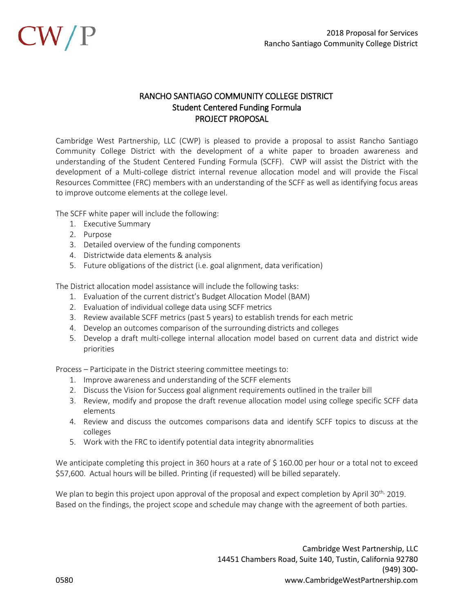

#### RANCHO SANTIAGO COMMUNITY COLLEGE DISTRICT Student Centered Funding Formula PROJECT PROPOSAL

Cambridge West Partnership, LLC (CWP) is pleased to provide a proposal to assist Rancho Santiago Community College District with the development of a white paper to broaden awareness and understanding of the Student Centered Funding Formula (SCFF). CWP will assist the District with the development of a Multi-college district internal revenue allocation model and will provide the Fiscal Resources Committee (FRC) members with an understanding of the SCFF as well as identifying focus areas to improve outcome elements at the college level.

The SCFF white paper will include the following:

- 1. Executive Summary
- 2. Purpose
- 3. Detailed overview of the funding components
- 4. Districtwide data elements & analysis
- 5. Future obligations of the district (i.e. goal alignment, data verification)

The District allocation model assistance will include the following tasks:

- 1. Evaluation of the current district's Budget Allocation Model (BAM)
- 2. Evaluation of individual college data using SCFF metrics
- 3. Review available SCFF metrics (past 5 years) to establish trends for each metric
- 4. Develop an outcomes comparison of the surrounding districts and colleges
- 5. Develop a draft multi-college internal allocation model based on current data and district wide priorities

Process – Participate in the District steering committee meetings to:

- 1. Improve awareness and understanding of the SCFF elements
- 2. Discuss the Vision for Success goal alignment requirements outlined in the trailer bill
- 3. Review, modify and propose the draft revenue allocation model using college specific SCFF data elements
- 4. Review and discuss the outcomes comparisons data and identify SCFF topics to discuss at the colleges
- 5. Work with the FRC to identify potential data integrity abnormalities

We anticipate completing this project in 360 hours at a rate of \$160.00 per hour or a total not to exceed \$57,600. Actual hours will be billed. Printing (if requested) will be billed separately.

We plan to begin this project upon approval of the proposal and expect completion by April 30<sup>th,</sup> 2019. Based on the findings, the project scope and schedule may change with the agreement of both parties.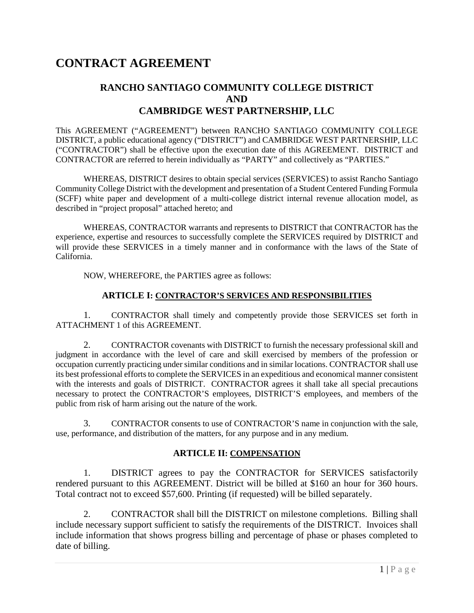# **CONTRACT AGREEMENT**

## **RANCHO SANTIAGO COMMUNITY COLLEGE DISTRICT AND CAMBRIDGE WEST PARTNERSHIP, LLC**

This AGREEMENT ("AGREEMENT") between RANCHO SANTIAGO COMMUNITY COLLEGE DISTRICT, a public educational agency ("DISTRICT") and CAMBRIDGE WEST PARTNERSHIP, LLC ("CONTRACTOR") shall be effective upon the execution date of this AGREEMENT. DISTRICT and CONTRACTOR are referred to herein individually as "PARTY" and collectively as "PARTIES."

WHEREAS, DISTRICT desires to obtain special services (SERVICES) to assist Rancho Santiago Community College District with the development and presentation of a Student Centered Funding Formula (SCFF) white paper and development of a multi-college district internal revenue allocation model, as described in "project proposal" attached hereto; and

WHEREAS, CONTRACTOR warrants and represents to DISTRICT that CONTRACTOR has the experience, expertise and resources to successfully complete the SERVICES required by DISTRICT and will provide these SERVICES in a timely manner and in conformance with the laws of the State of California.

NOW, WHEREFORE, the PARTIES agree as follows:

#### **ARTICLE I: CONTRACTOR'S SERVICES AND RESPONSIBILITIES**

1. CONTRACTOR shall timely and competently provide those SERVICES set forth in ATTACHMENT 1 of this AGREEMENT.

2. CONTRACTOR covenants with DISTRICT to furnish the necessary professional skill and judgment in accordance with the level of care and skill exercised by members of the profession or occupation currently practicing under similar conditions and in similar locations. CONTRACTOR shall use its best professional efforts to complete the SERVICES in an expeditious and economical manner consistent with the interests and goals of DISTRICT. CONTRACTOR agrees it shall take all special precautions necessary to protect the CONTRACTOR'S employees, DISTRICT'S employees, and members of the public from risk of harm arising out the nature of the work.

3. CONTRACTOR consents to use of CONTRACTOR'S name in conjunction with the sale, use, performance, and distribution of the matters, for any purpose and in any medium.

#### **ARTICLE II: COMPENSATION**

1. DISTRICT agrees to pay the CONTRACTOR for SERVICES satisfactorily rendered pursuant to this AGREEMENT. District will be billed at \$160 an hour for 360 hours. Total contract not to exceed \$57,600. Printing (if requested) will be billed separately.

2. CONTRACTOR shall bill the DISTRICT on milestone completions. Billing shall include necessary support sufficient to satisfy the requirements of the DISTRICT. Invoices shall include information that shows progress billing and percentage of phase or phases completed to date of billing.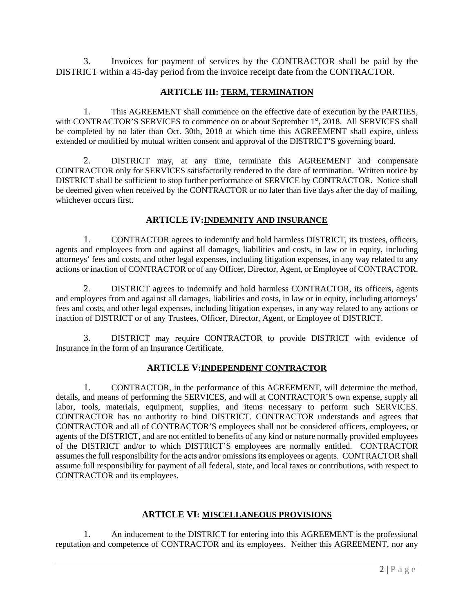3. Invoices for payment of services by the CONTRACTOR shall be paid by the DISTRICT within a 45-day period from the invoice receipt date from the CONTRACTOR.

#### **ARTICLE III: TERM, TERMINATION**

1. This AGREEMENT shall commence on the effective date of execution by the PARTIES, with CONTRACTOR'S SERVICES to commence on or about September 1st, 2018. All SERVICES shall be completed by no later than Oct. 30th, 2018 at which time this AGREEMENT shall expire, unless extended or modified by mutual written consent and approval of the DISTRICT'S governing board.

2. DISTRICT may, at any time, terminate this AGREEMENT and compensate CONTRACTOR only for SERVICES satisfactorily rendered to the date of termination. Written notice by DISTRICT shall be sufficient to stop further performance of SERVICE by CONTRACTOR. Notice shall be deemed given when received by the CONTRACTOR or no later than five days after the day of mailing, whichever occurs first.

#### **ARTICLE IV:INDEMNITY AND INSURANCE**

1. CONTRACTOR agrees to indemnify and hold harmless DISTRICT, its trustees, officers, agents and employees from and against all damages, liabilities and costs, in law or in equity, including attorneys' fees and costs, and other legal expenses, including litigation expenses, in any way related to any actions or inaction of CONTRACTOR or of any Officer, Director, Agent, or Employee of CONTRACTOR.

2. DISTRICT agrees to indemnify and hold harmless CONTRACTOR, its officers, agents and employees from and against all damages, liabilities and costs, in law or in equity, including attorneys' fees and costs, and other legal expenses, including litigation expenses, in any way related to any actions or inaction of DISTRICT or of any Trustees, Officer, Director, Agent, or Employee of DISTRICT.

3. DISTRICT may require CONTRACTOR to provide DISTRICT with evidence of Insurance in the form of an Insurance Certificate.

#### **ARTICLE V:INDEPENDENT CONTRACTOR**

1. CONTRACTOR, in the performance of this AGREEMENT, will determine the method, details, and means of performing the SERVICES, and will at CONTRACTOR'S own expense, supply all labor, tools, materials, equipment, supplies, and items necessary to perform such SERVICES. CONTRACTOR has no authority to bind DISTRICT. CONTRACTOR understands and agrees that CONTRACTOR and all of CONTRACTOR'S employees shall not be considered officers, employees, or agents of the DISTRICT, and are not entitled to benefits of any kind or nature normally provided employees of the DISTRICT and/or to which DISTRICT'S employees are normally entitled. CONTRACTOR assumes the full responsibility for the acts and/or omissions its employees or agents. CONTRACTOR shall assume full responsibility for payment of all federal, state, and local taxes or contributions, with respect to CONTRACTOR and its employees.

#### **ARTICLE VI: MISCELLANEOUS PROVISIONS**

1. An inducement to the DISTRICT for entering into this AGREEMENT is the professional reputation and competence of CONTRACTOR and its employees. Neither this AGREEMENT, nor any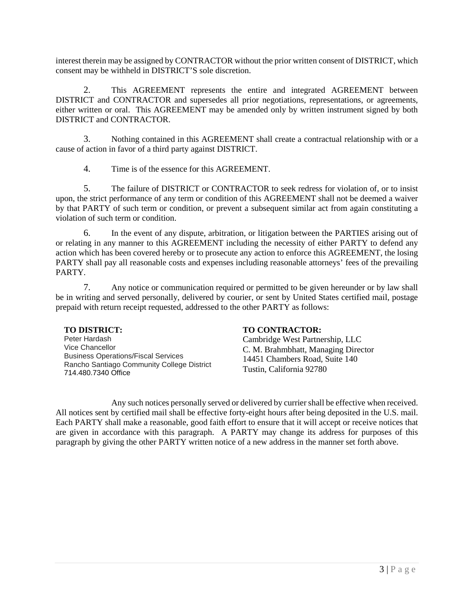interest therein may be assigned by CONTRACTOR without the prior written consent of DISTRICT, which consent may be withheld in DISTRICT'S sole discretion.

2. This AGREEMENT represents the entire and integrated AGREEMENT between DISTRICT and CONTRACTOR and supersedes all prior negotiations, representations, or agreements, either written or oral. This AGREEMENT may be amended only by written instrument signed by both DISTRICT and CONTRACTOR.

3. Nothing contained in this AGREEMENT shall create a contractual relationship with or a cause of action in favor of a third party against DISTRICT.

4. Time is of the essence for this AGREEMENT.

5. The failure of DISTRICT or CONTRACTOR to seek redress for violation of, or to insist upon, the strict performance of any term or condition of this AGREEMENT shall not be deemed a waiver by that PARTY of such term or condition, or prevent a subsequent similar act from again constituting a violation of such term or condition.

6. In the event of any dispute, arbitration, or litigation between the PARTIES arising out of or relating in any manner to this AGREEMENT including the necessity of either PARTY to defend any action which has been covered hereby or to prosecute any action to enforce this AGREEMENT, the losing PARTY shall pay all reasonable costs and expenses including reasonable attorneys' fees of the prevailing PARTY.

7. Any notice or communication required or permitted to be given hereunder or by law shall be in writing and served personally, delivered by courier, or sent by United States certified mail, postage prepaid with return receipt requested, addressed to the other PARTY as follows:

Peter Hardash Vice Chancellor Business Operations/Fiscal Services Rancho Santiago Community College District 714.480.7340 Office

#### **TO DISTRICT: TO CONTRACTOR:**

Cambridge West Partnership, LLC C. M. Brahmbhatt, Managing Director 14451 Chambers Road, Suite 140 Tustin, California 92780

Any such notices personally served or delivered by currier shall be effective when received. All notices sent by certified mail shall be effective forty-eight hours after being deposited in the U.S. mail. Each PARTY shall make a reasonable, good faith effort to ensure that it will accept or receive notices that are given in accordance with this paragraph. A PARTY may change its address for purposes of this paragraph by giving the other PARTY written notice of a new address in the manner set forth above.